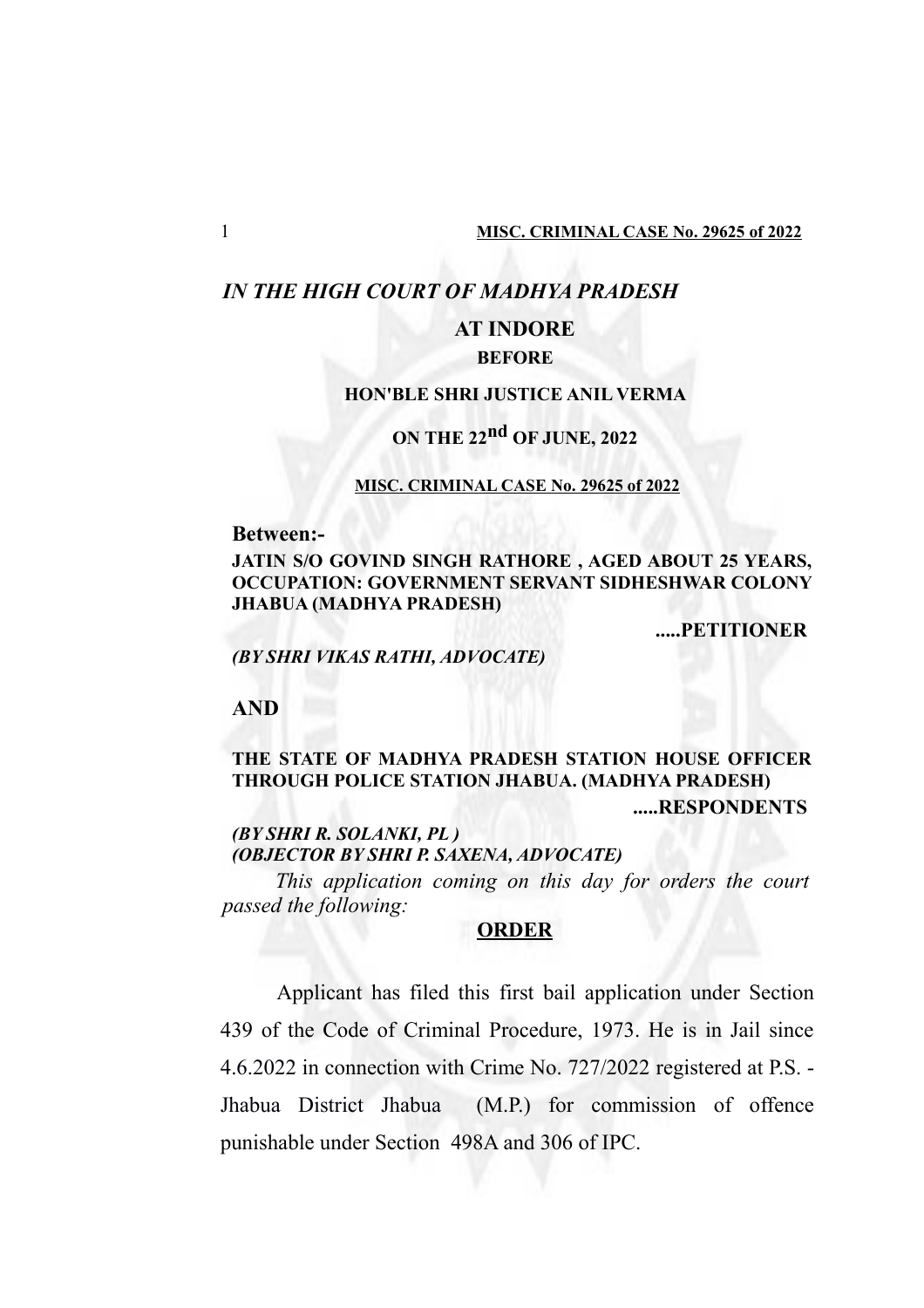## *IN THE HIGH COURT OF MADHYA PRADESH*

# **AT INDORE**

## **BEFORE**

## **HON'BLE SHRI JUSTICE ANIL VERMA**

# **ON THE 22nd OF JUNE, 2022**

#### **MISC. CRIMINAL CASE No. 29625 of 2022**

**Between:-**

**JATIN S/O GOVIND SINGH RATHORE , AGED ABOUT 25 YEARS, OCCUPATION: GOVERNMENT SERVANT SIDHESHWAR COLONY JHABUA (MADHYA PRADESH)**

**.....PETITIONER**

*(BY SHRI VIKAS RATHI, ADVOCATE)*

**AND**

## **THE STATE OF MADHYA PRADESH STATION HOUSE OFFICER THROUGH POLICE STATION JHABUA. (MADHYA PRADESH) .....RESPONDENTS**

*(BY SHRI R. SOLANKI, PL ) (OBJECTOR BY SHRI P. SAXENA, ADVOCATE)*

*This application coming on this day for orders the court passed the following:*

## **ORDER**

Applicant has filed this first bail application under Section 439 of the Code of Criminal Procedure, 1973. He is in Jail since 4.6.2022 in connection with Crime No. 727/2022 registered at P.S. - Jhabua District Jhabua (M.P.) for commission of offence punishable under Section 498A and 306 of IPC.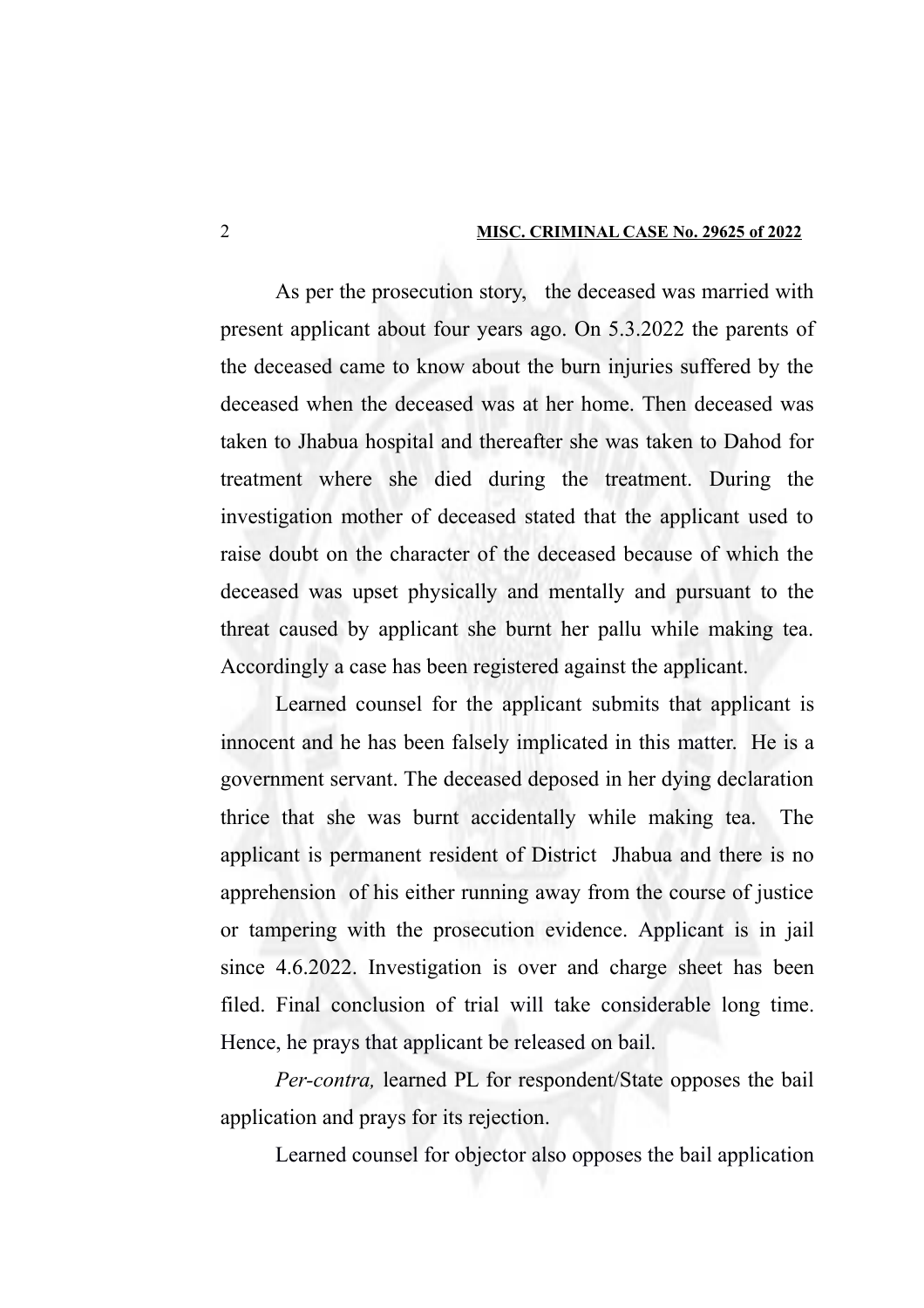As per the prosecution story, the deceased was married with present applicant about four years ago. On 5.3.2022 the parents of the deceased came to know about the burn injuries suffered by the deceased when the deceased was at her home. Then deceased was taken to Jhabua hospital and thereafter she was taken to Dahod for treatment where she died during the treatment. During the investigation mother of deceased stated that the applicant used to raise doubt on the character of the deceased because of which the deceased was upset physically and mentally and pursuant to the threat caused by applicant she burnt her pallu while making tea. Accordingly a case has been registered against the applicant.

Learned counsel for the applicant submits that applicant is innocent and he has been falsely implicated in this matter. He is a government servant. The deceased deposed in her dying declaration thrice that she was burnt accidentally while making tea. The applicant is permanent resident of District Jhabua and there is no apprehension of his either running away from the course of justice or tampering with the prosecution evidence. Applicant is in jail since 4.6.2022. Investigation is over and charge sheet has been filed. Final conclusion of trial will take considerable long time. Hence, he prays that applicant be released on bail.

*Per-contra,* learned PL for respondent/State opposes the bail application and prays for its rejection.

Learned counsel for objector also opposes the bail application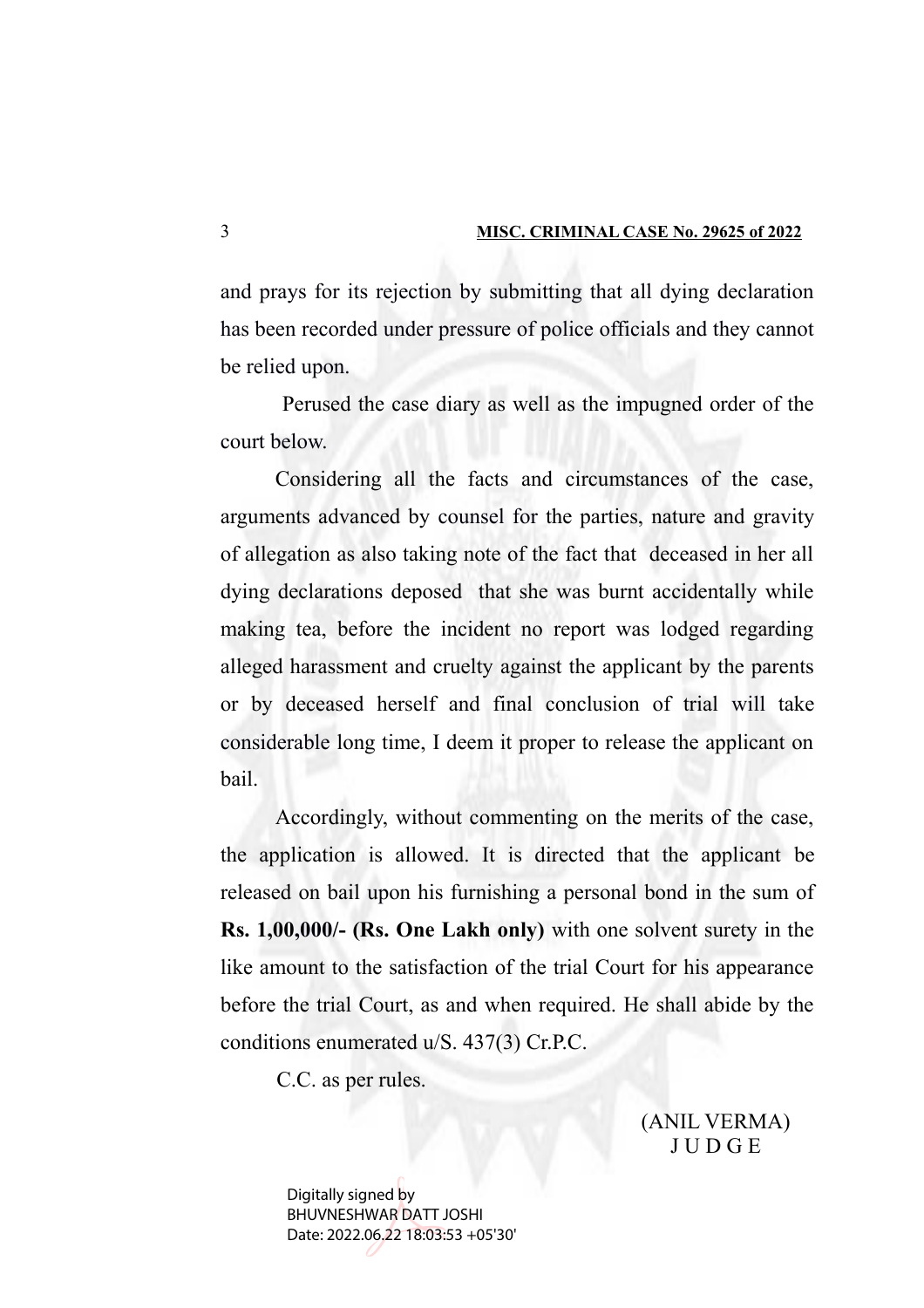and prays for its rejection by submitting that all dying declaration has been recorded under pressure of police officials and they cannot be relied upon.

 Perused the case diary as well as the impugned order of the court below.

Considering all the facts and circumstances of the case, arguments advanced by counsel for the parties, nature and gravity of allegation as also taking note of the fact that deceased in her all dying declarations deposed that she was burnt accidentally while making tea, before the incident no report was lodged regarding alleged harassment and cruelty against the applicant by the parents or by deceased herself and final conclusion of trial will take considerable long time, I deem it proper to release the applicant on bail.

Accordingly, without commenting on the merits of the case, the application is allowed. It is directed that the applicant be released on bail upon his furnishing a personal bond in the sum of **Rs. 1,00,000/- (Rs. One Lakh only)** with one solvent surety in the like amount to the satisfaction of the trial Court for his appearance before the trial Court, as and when required. He shall abide by the conditions enumerated u/S. 437(3) Cr.P.C.

C.C. as per rules.

(ANIL VERMA) J U D G E

Digitally signed by BHUVNESHWAR DATT JOSHI Date: 2022.06.22 18:03:53 +05'30'